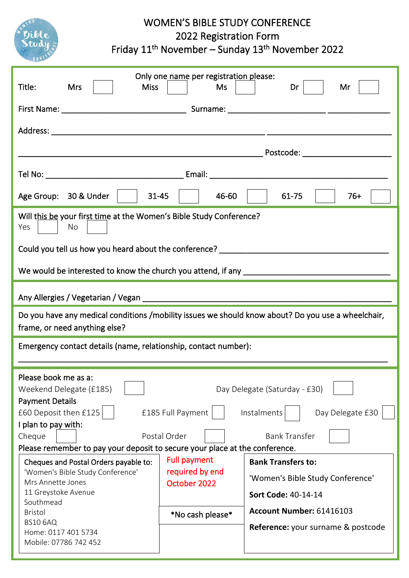

## WOMEN'S BIBLE STUDY CONFERENCE

2022 Registration Form

Friday 11<sup>th</sup> November – Sunday 13<sup>th</sup> November 2022

| Title:<br><b>Miss</b><br><b>Mrs</b>                                                                                                                                                                                                                                                                                                                                                                                                           | Only one name per registration please:<br>Ms                                                                    | Dr<br>Mr                                                                                                                                                                                                                                           |  |
|-----------------------------------------------------------------------------------------------------------------------------------------------------------------------------------------------------------------------------------------------------------------------------------------------------------------------------------------------------------------------------------------------------------------------------------------------|-----------------------------------------------------------------------------------------------------------------|----------------------------------------------------------------------------------------------------------------------------------------------------------------------------------------------------------------------------------------------------|--|
|                                                                                                                                                                                                                                                                                                                                                                                                                                               |                                                                                                                 |                                                                                                                                                                                                                                                    |  |
|                                                                                                                                                                                                                                                                                                                                                                                                                                               |                                                                                                                 | Postcode: ________________________                                                                                                                                                                                                                 |  |
|                                                                                                                                                                                                                                                                                                                                                                                                                                               |                                                                                                                 |                                                                                                                                                                                                                                                    |  |
| Age Group: 30 & Under                                                                                                                                                                                                                                                                                                                                                                                                                         | $31 - 45$<br>46-60                                                                                              | 61-75<br>$76+$                                                                                                                                                                                                                                     |  |
| Will this be your first time at the Women's Bible Study Conference?<br>No<br>Yes                                                                                                                                                                                                                                                                                                                                                              |                                                                                                                 |                                                                                                                                                                                                                                                    |  |
| Could you tell us how you heard about the conference? __________________________                                                                                                                                                                                                                                                                                                                                                              |                                                                                                                 |                                                                                                                                                                                                                                                    |  |
| We would be interested to know the church you attend, if any ____________________                                                                                                                                                                                                                                                                                                                                                             |                                                                                                                 |                                                                                                                                                                                                                                                    |  |
|                                                                                                                                                                                                                                                                                                                                                                                                                                               |                                                                                                                 |                                                                                                                                                                                                                                                    |  |
| Do you have any medical conditions /mobility issues we should know about? Do you use a wheelchair,<br>frame, or need anything else?                                                                                                                                                                                                                                                                                                           |                                                                                                                 |                                                                                                                                                                                                                                                    |  |
| Emergency contact details (name, relationship, contact number):                                                                                                                                                                                                                                                                                                                                                                               |                                                                                                                 |                                                                                                                                                                                                                                                    |  |
| Please book me as a:<br>Weekend Delegate (£185)<br><b>Payment Details</b><br>£60 Deposit then £125<br>I plan to pay with:<br>Cheque<br>Please remember to pay your deposit to secure your place at the conference.<br>Cheques and Postal Orders payable to:<br>'Women's Bible Study Conference'<br>Mrs Annette Jones<br>11 Greystoke Avenue<br>Southmead<br><b>Bristol</b><br><b>BS10 6AQ</b><br>Home: 0117 401 5734<br>Mobile: 07786 742 452 | £185 Full Payment<br>Postal Order<br><b>Full payment</b><br>required by end<br>October 2022<br>*No cash please* | Day Delegate (Saturday - £30)<br>Day Delegate £30<br>Instalments<br><b>Bank Transfer</b><br><b>Bank Transfers to:</b><br>'Women's Bible Study Conference'<br>Sort Code: 40-14-14<br>Account Number: 61416103<br>Reference: your surname & postcode |  |